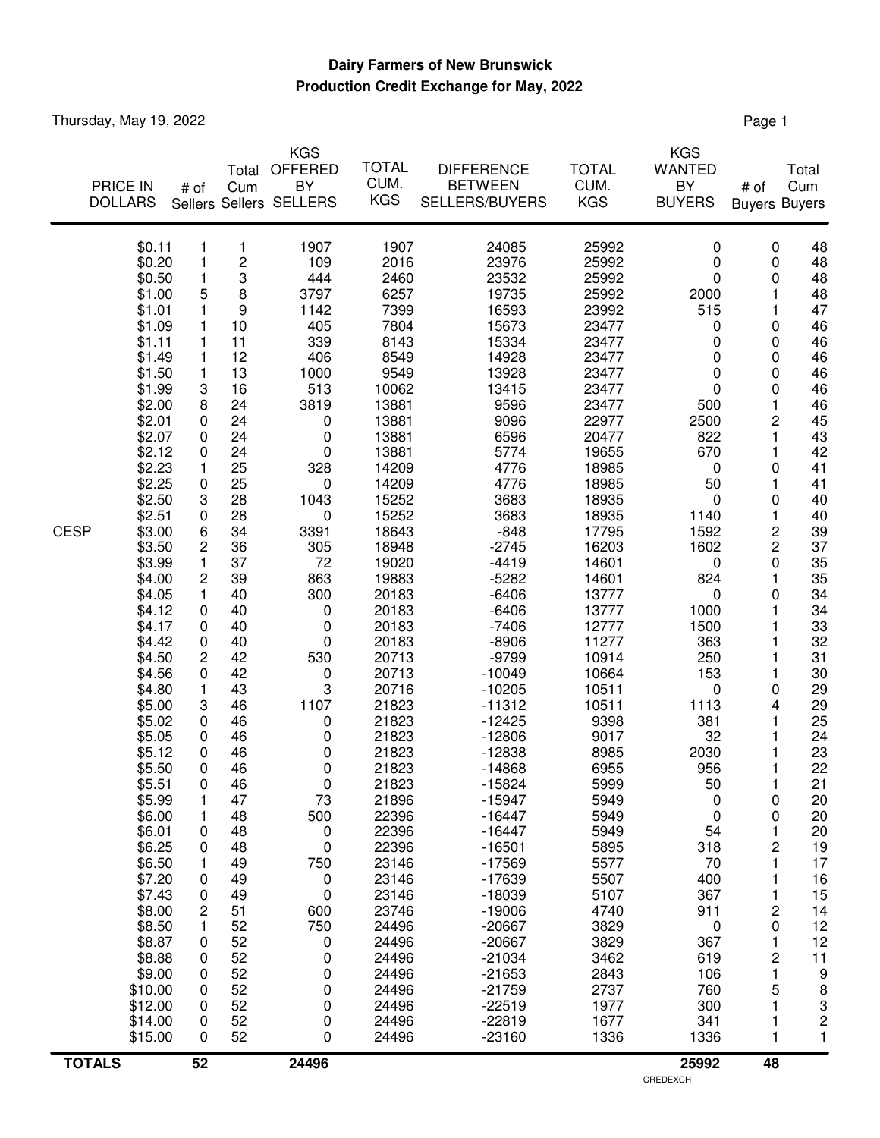## **Production Credit Exchange for May, 2022 Dairy Farmers of New Brunswick**

Thursday, May 19, 2022 **Page 1** 

| <b>TOTALS</b> |                  | 52             |          | 24496                   |                |                      |                | 25992            | 48                   |                         |
|---------------|------------------|----------------|----------|-------------------------|----------------|----------------------|----------------|------------------|----------------------|-------------------------|
|               | \$15.00          | 0              | 52       | 0                       | 24496          | $-23160$             | 1336           | 1336             | 1                    | 1                       |
|               | \$14.00          | 0              | 52       | 0                       | 24496          | $-22819$             | 1677           | 341              | 1                    | $\overline{\mathbf{c}}$ |
|               | \$12.00          | 0              | 52       | 0                       | 24496          | $-22519$             | 1977           | 300              | 1                    | 3                       |
|               | \$10.00          | 0              | 52       | 0                       | 24496          | $-21759$             | 2737           | 760              | 5                    | 8                       |
|               | \$9.00           | 0              | 52       | 0                       | 24496          | $-21653$             | 2843           | 106              | $\mathbf{1}$         | 9                       |
|               | \$8.88           | 0              | 52       | 0                       | 24496          | $-21034$             | 3462           | 619              | $\overline{c}$       | 11                      |
|               | \$8.87           | 0              | 52       | 0                       | 24496          | $-20667$             | 3829           | 367              | 1                    | 12                      |
|               | \$8.50           | 1              | 52       | 750                     | 24496          | $-20667$             | 3829           | 0                | 0                    | 12                      |
|               | \$7.43<br>\$8.00 | 0<br>2         | 49<br>51 | 0<br>600                | 23146<br>23746 | $-18039$<br>$-19006$ | 5107<br>4740   | 367<br>911       | 1<br>2               | 15<br>14                |
|               | \$7.20           | 0              | 49       | 0                       | 23146          | $-17639$             | 5507           | 400              | 1                    | 16                      |
|               | \$6.50           | 1              | 49       | 750                     | 23146          | $-17569$             | 5577           | 70               | 1                    | 17                      |
|               | \$6.25           | 0              | 48       | 0                       | 22396          | $-16501$             | 5895           | 318              | 2                    | 19                      |
|               | \$6.01           | 0              | 48       | 0                       | 22396          | $-16447$             | 5949           | 54               | 1                    | 20                      |
|               | \$6.00           | 1              | 48       | 500                     | 22396          | $-16447$             | 5949           | 0                | 0                    | 20                      |
|               | \$5.99           | 1              | 47       | 73                      | 21896          | $-15947$             | 5949           | 0                | 0                    | 20                      |
|               | \$5.51           | 0              | 46       | $\pmb{0}$               | 21823          | $-15824$             | 5999           | 50               | 1                    | 21                      |
|               | \$5.50           | 0              | 46       | 0                       | 21823          | $-14868$             | 6955           | 956              | 1                    | 22                      |
|               | \$5.05<br>\$5.12 | 0<br>0         | 46<br>46 | 0<br>0                  | 21823<br>21823 | $-12806$<br>$-12838$ | 9017<br>8985   | 32<br>2030       | 1<br>1               | 24<br>23                |
|               | \$5.02           | 0              | 46       | 0                       | 21823          | $-12425$             | 9398           | 381              | 1                    | 25                      |
|               | \$5.00           | 3              | 46       | 1107                    | 21823          | $-11312$             | 10511          | 1113             | 4                    | 29                      |
|               | \$4.80           | 1              | 43       | 3                       | 20716          | $-10205$             | 10511          | $\pmb{0}$        | 0                    | 29                      |
|               | \$4.56           | 0              | 42       | 0                       | 20713          | $-10049$             | 10664          | 153              | 1                    | 30                      |
|               | \$4.50           | 2              | 42       | 530                     | 20713          | $-9799$              | 10914          | 250              | 1                    | 31                      |
|               | \$4.42           | 0              | 40       | 0                       | 20183          | $-8906$              | 11277          | 363              | 1                    | 32                      |
|               | \$4.17           | 0              | 40       | 0                       | 20183          | $-7406$              | 12777          | 1500             | 1                    | 33                      |
|               | \$4.12           | 0              | 40       | 0                       | 20183          | $-6406$              | 13777          | 1000             | 1                    | 34                      |
|               | \$4.00<br>\$4.05 | 2<br>1         | 39<br>40 | 863<br>300              | 19883<br>20183 | $-5282$<br>$-6406$   | 14601<br>13777 | 824<br>$\pmb{0}$ | 0                    | 35<br>34                |
|               | \$3.99           | 1              | 37       | 72                      | 19020          | $-4419$              | 14601          | 0                | 0<br>1               | 35                      |
|               | \$3.50           | $\overline{c}$ | 36       | 305                     | 18948          | $-2745$              | 16203          | 1602             |                      | 37                      |
| <b>CESP</b>   | \$3.00           | 6              | 34       | 3391                    | 18643          | $-848$               | 17795          | 1592             | $\frac{2}{2}$        | 39                      |
|               | \$2.51           | 0              | 28       | 0                       | 15252          | 3683                 | 18935          | 1140             | 1                    | 40                      |
|               | \$2.50           | 3              | 28       | 1043                    | 15252          | 3683                 | 18935          | 0                | 0                    | 40                      |
|               | \$2.25           | 0              | 25       | 0                       | 14209          | 4776                 | 18985          | 50               | 1                    | 41                      |
|               | \$2.23           | 1              | 25       | 328                     | 14209          | 4776                 | 18985          | 0                | 0                    | 41                      |
|               | \$2.12           | 0              | 24       | 0                       | 13881          | 5774                 | 19655          | 670              | 1                    | 42                      |
|               | \$2.07           | 0              | 24       | 0                       | 13881          | 6596                 | 20477          | 822              | $\mathbf{1}$         | 43                      |
|               | \$2.00<br>\$2.01 | 8<br>0         | 24<br>24 | 3819<br>0               | 13881<br>13881 | 9596<br>9096         | 23477<br>22977 | 500<br>2500      | $\mathbf{1}$<br>2    | 46<br>45                |
|               | \$1.99           | 3              | 16       | 513                     | 10062          | 13415                | 23477          | 0                | 0                    | 46                      |
|               | \$1.50           | 1              | 13       | 1000                    | 9549           | 13928                | 23477          | 0                | 0                    | 46                      |
|               | \$1.49           | 1              | 12       | 406                     | 8549           | 14928                | 23477          | 0                | 0                    | 46                      |
|               | \$1.11           | 1              | 11       | 339                     | 8143           | 15334                | 23477          | 0                | 0                    | 46                      |
|               | \$1.09           | 1              | 10       | 405                     | 7804           | 15673                | 23477          | 0                | 0                    | 46                      |
|               | \$1.01           | 1              | 9        | 1142                    | 7399           | 16593                | 23992          | 515              | 1                    | 47                      |
|               | \$0.50<br>\$1.00 | 1<br>5         | 3<br>8   | 3797                    | 6257           | 23532<br>19735       | 25992          | 2000             | 1                    | 48<br>48                |
|               | \$0.20           | 1              | 2        | 109<br>444              | 2016<br>2460   | 23976                | 25992<br>25992 | 0<br>0           | 0<br>0               | 48                      |
|               | \$0.11           | 1              | 1        | 1907                    | 1907           | 24085                | 25992          | 0                | 0                    | 48                      |
|               |                  |                |          |                         |                |                      |                |                  |                      |                         |
|               | <b>DOLLARS</b>   |                |          | Sellers Sellers SELLERS | <b>KGS</b>     | SELLERS/BUYERS       | <b>KGS</b>     | <b>BUYERS</b>    | <b>Buyers Buyers</b> |                         |
|               | <b>PRICE IN</b>  | # of           | Cum      | BY                      | CUM.           | <b>BETWEEN</b>       | CUM.           | BY               | # of                 | Cum                     |
|               |                  |                | Total    | OFFERED                 | <b>TOTAL</b>   | <b>DIFFERENCE</b>    | <b>TOTAL</b>   | <b>WANTED</b>    |                      | Total                   |
|               |                  |                |          | <b>KGS</b>              |                |                      |                | <b>KGS</b>       |                      |                         |
|               |                  |                |          |                         |                |                      |                |                  |                      |                         |